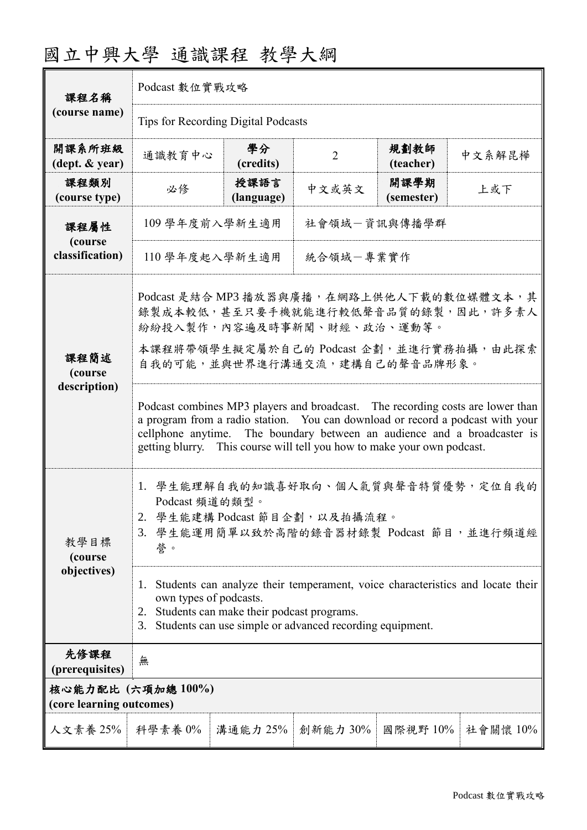| 國立中興大學 通識課程 教學大綱 |  |  |
|------------------|--|--|
|------------------|--|--|

| 課程名稱                                           | Podcast 數位實戰攻略                                                                                                                                                                                                                                                                                                             |                    |                |                    |          |  |
|------------------------------------------------|----------------------------------------------------------------------------------------------------------------------------------------------------------------------------------------------------------------------------------------------------------------------------------------------------------------------------|--------------------|----------------|--------------------|----------|--|
| (course name)                                  | Tips for Recording Digital Podcasts                                                                                                                                                                                                                                                                                        |                    |                |                    |          |  |
| 開課系所班級<br>$(\text{dept.} \& \text{ year})$     | 通識教育中心                                                                                                                                                                                                                                                                                                                     | 學分<br>(credits)    | $\overline{2}$ | 規劃教師<br>(teacher)  | 中文系解昆樺   |  |
| 課程類別<br>(course type)                          | 必修                                                                                                                                                                                                                                                                                                                         | 授課語言<br>(language) | 中文或英文          | 開課學期<br>(semester) | 上或下      |  |
| 課程屬性<br>(course<br>classification)             | 109 學年度前入學新生適用<br>社會領域一資訊與傳播學群                                                                                                                                                                                                                                                                                             |                    |                |                    |          |  |
|                                                | 統合領域一專業實作<br>110 學年度起入學新生適用                                                                                                                                                                                                                                                                                                |                    |                |                    |          |  |
|                                                | Podcast 是結合 MP3 播放器與廣播, 在網路上供他人下載的數位媒體文本, 其<br>錄製成本較低,甚至只要手機就能進行較低聲音品質的錄製,因此,許多素人<br>紛紛投入製作,內容遍及時事新聞、財經、政治、運動等。                                                                                                                                                                                                            |                    |                |                    |          |  |
| 課程簡述<br>(course<br>description)                | 本課程將帶領學生擬定屬於自己的 Podcast 企劃,並進行實務拍攝,由此探索<br>自我的可能,並與世界進行溝通交流,建構自己的聲音品牌形象。                                                                                                                                                                                                                                                   |                    |                |                    |          |  |
|                                                | Podcast combines MP3 players and broadcast. The recording costs are lower than<br>a program from a radio station. You can download or record a podcast with your<br>cellphone anytime. The boundary between an audience and a broadcaster is<br>This course will tell you how to make your own podcast.<br>getting blurry. |                    |                |                    |          |  |
| 教學目標<br>(course                                | 1. 學生能理解自我的知識喜好取向、個人氣質與聲音特質優勢,定位自我的<br>Podcast 頻道的類型。<br>2. 學生能建構 Podcast 節目企劃, 以及拍攝流程。<br>3. 學生能運用簡單以致於高階的錄音器材錄製 Podcast 節目,並進行頻道經<br>誉。                                                                                                                                                                                  |                    |                |                    |          |  |
| objectives)                                    | Students can analyze their temperament, voice characteristics and locate their<br>1.<br>own types of podcasts.<br>Students can make their podcast programs.<br>2.<br>Students can use simple or advanced recording equipment.<br>3.                                                                                        |                    |                |                    |          |  |
| 先修課程<br>(prerequisites)                        | 無                                                                                                                                                                                                                                                                                                                          |                    |                |                    |          |  |
| 核心能力配比 (六項加總 100%)<br>(core learning outcomes) |                                                                                                                                                                                                                                                                                                                            |                    |                |                    |          |  |
| 人文素養 25%                                       | 科學素養 0%                                                                                                                                                                                                                                                                                                                    | 溝通能力 25%           | 創新能力 30%       | 國際視野 10%           | 社會關懷 10% |  |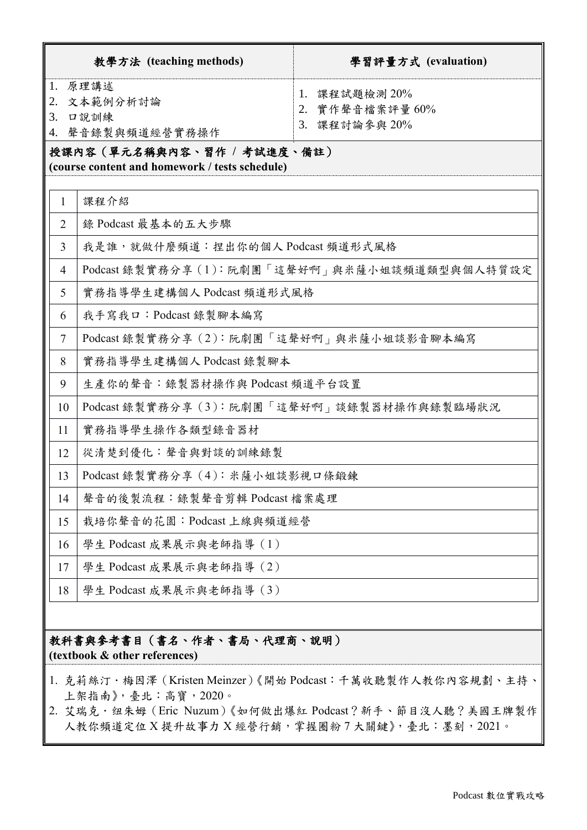|                | 教學方法 (teaching methods)                                                                                                         | 學習評量方式 (evaluation)                               |  |  |
|----------------|---------------------------------------------------------------------------------------------------------------------------------|---------------------------------------------------|--|--|
| 2.<br>3.       | 1. 原理講述<br>文本範例分析討論<br>口說訓練<br>4. 聲音錄製與頻道經營實務操作<br>授課內容(單元名稱與內容、習作 / 考試進度、備註)<br>(course content and homework / tests schedule) | 1. 課程試題檢測 20%<br>2. 實作聲音檔案評量 60%<br>3. 課程討論參與 20% |  |  |
| 1              | 課程介紹                                                                                                                            |                                                   |  |  |
| $\overline{2}$ | 錄 Podcast 最基本的五大步驟                                                                                                              |                                                   |  |  |
| 3              | 我是誰,就做什麼頻道:捏出你的個人Podcast 頻道形式風格                                                                                                 |                                                   |  |  |
| $\overline{4}$ | Podcast 錄製實務分享 (1):阮劇團「這聲好啊」與米薩小姐談頻道類型與個人特質設定                                                                                   |                                                   |  |  |
| 5              | 實務指導學生建構個人 Podcast 頻道形式風格                                                                                                       |                                                   |  |  |
| 6              | 我手寫我口: Podcast 錄製腳本編寫                                                                                                           |                                                   |  |  |
| $\overline{7}$ | Podcast 錄製實務分享 (2): 阮劇團「這聲好啊」與米薩小姐談影音腳本編寫                                                                                       |                                                   |  |  |
| 8              | 實務指導學生建構個人 Podcast 錄製腳本                                                                                                         |                                                   |  |  |
| 9              | 生產你的聲音:錄製器材操作與 Podcast 頻道平台設置                                                                                                   |                                                   |  |  |
| 10             | Podcast 錄製實務分享 (3): 阮劇團「這聲好啊」談錄製器材操作與錄製臨場狀況                                                                                     |                                                   |  |  |
| 11             | 實務指導學生操作各類型錄音器材                                                                                                                 |                                                   |  |  |
| 12             | 從清楚到優化:聲音與對談的訓練錄製                                                                                                               |                                                   |  |  |
| 13             | Podcast 錄製實務分享 (4): 米薩小姐談影視口條鍛鍊                                                                                                 |                                                   |  |  |
| 14             | 聲音的後製流程:錄製聲音剪輯 Podcast 檔案處理                                                                                                     |                                                   |  |  |
| 15             | 栽培你聲音的花園: Podcast 上線與頻道經營                                                                                                       |                                                   |  |  |
| 16             | 學生 Podcast 成果展示與老師指導 (1)                                                                                                        |                                                   |  |  |
| 17             | 學生 Podcast 成果展示與老師指導 (2)                                                                                                        |                                                   |  |  |
| 18             | 學生 Podcast 成果展示與老師指導 (3)                                                                                                        |                                                   |  |  |
|                | 教科書與參考書目(書名、作者、書局、代理商、說明)                                                                                                       |                                                   |  |  |

**(textbook & other references)**

- 1. 克莉絲汀·梅因澤 (Kristen Meinzer)《開始 Podcast:千萬收聽製作人教你內容規劃、主持、 上架指南》,臺北:高寶,2020。
- 2. 艾瑞克·纽朱姆 (Eric Nuzum)《如何做出爆紅 Podcast?新手、節目沒人聽?美國王牌製作 人教你頻道定位 X 提升故事力 X 經營行銷,掌握圈粉 7 大關鍵》,臺北:墨刻, 2021。